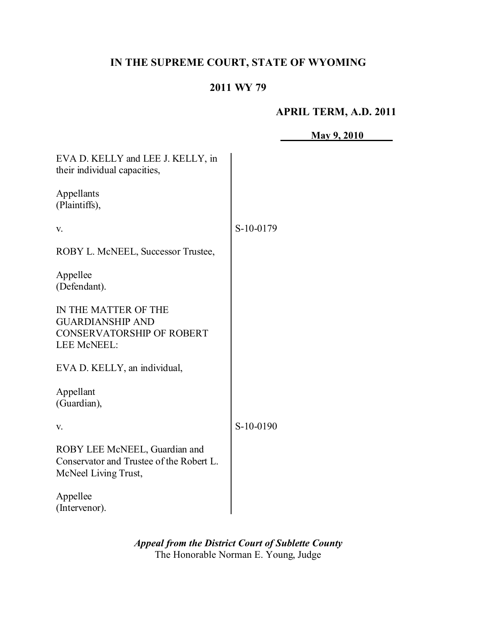# **IN THE SUPREME COURT, STATE OF WYOMING**

## **2011 WY 79**

## **APRIL TERM, A.D. 2011**

|                                                                                                    | <b>May 9, 2010</b> |
|----------------------------------------------------------------------------------------------------|--------------------|
| EVA D. KELLY and LEE J. KELLY, in<br>their individual capacities,                                  |                    |
| Appellants<br>(Plaintiffs),                                                                        |                    |
| V.                                                                                                 | S-10-0179          |
| ROBY L. McNEEL, Successor Trustee,                                                                 |                    |
| Appellee<br>(Defendant).                                                                           |                    |
| IN THE MATTER OF THE<br><b>GUARDIANSHIP AND</b><br><b>CONSERVATORSHIP OF ROBERT</b><br>LEE McNEEL: |                    |
| EVA D. KELLY, an individual,                                                                       |                    |
| Appellant<br>(Guardian),                                                                           |                    |
| V.                                                                                                 | S-10-0190          |
| ROBY LEE McNEEL, Guardian and<br>Conservator and Trustee of the Robert L.<br>McNeel Living Trust,  |                    |
| Appellee<br>(Intervenor).                                                                          |                    |

*Appeal from the District Court of Sublette County* The Honorable Norman E. Young, Judge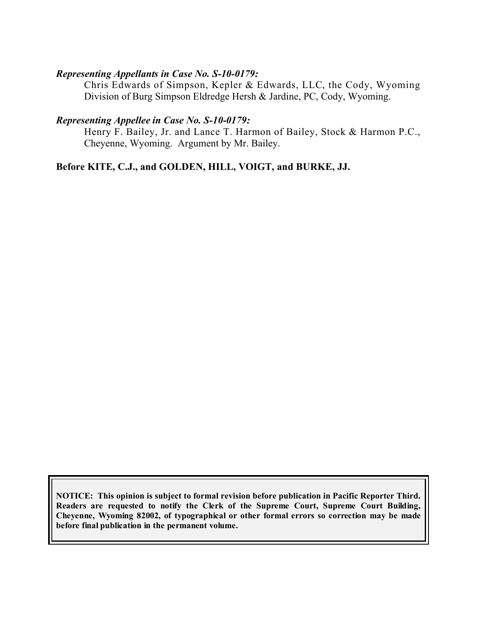#### *Representing Appellants in Case No. S-10-0179:*

Chris Edwards of Simpson, Kepler & Edwards, LLC, the Cody, Wyoming Division of Burg Simpson Eldredge Hersh & Jardine, PC, Cody, Wyoming.

#### *Representing Appellee in Case No. S-10-0179:*

Henry F. Bailey, Jr. and Lance T. Harmon of Bailey, Stock & Harmon P.C., Cheyenne, Wyoming. Argument by Mr. Bailey.

**Before KITE, C.J., and GOLDEN, HILL, VOIGT, and BURKE, JJ.**

**NOTICE: This opinion is subject to formal revision before publication in Pacific Reporter Third. Readers are requested to notify the Clerk of the Supreme Court, Supreme Court Building, Cheyenne, Wyoming 82002, of typographical or other formal errors so correction may be made before final publication in the permanent volume.**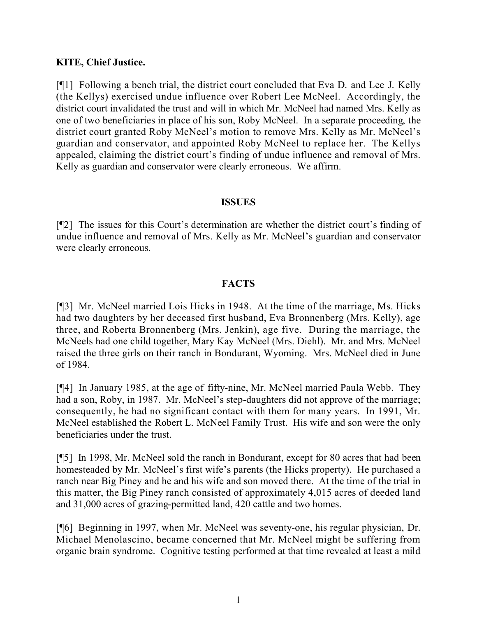## **KITE, Chief Justice.**

[¶1] Following a bench trial, the district court concluded that Eva D. and Lee J. Kelly (the Kellys) exercised undue influence over Robert Lee McNeel. Accordingly, the district court invalidated the trust and will in which Mr. McNeel had named Mrs. Kelly as one of two beneficiaries in place of his son, Roby McNeel. In a separate proceeding, the district court granted Roby McNeel's motion to remove Mrs. Kelly as Mr. McNeel's guardian and conservator, and appointed Roby McNeel to replace her. The Kellys appealed, claiming the district court's finding of undue influence and removal of Mrs. Kelly as guardian and conservator were clearly erroneous. We affirm.

#### **ISSUES**

[¶2] The issues for this Court's determination are whether the district court's finding of undue influence and removal of Mrs. Kelly as Mr. McNeel's guardian and conservator were clearly erroneous.

#### **FACTS**

[¶3] Mr. McNeel married Lois Hicks in 1948. At the time of the marriage, Ms. Hicks had two daughters by her deceased first husband, Eva Bronnenberg (Mrs. Kelly), age three, and Roberta Bronnenberg (Mrs. Jenkin), age five. During the marriage, the McNeels had one child together, Mary Kay McNeel (Mrs. Diehl). Mr. and Mrs. McNeel raised the three girls on their ranch in Bondurant, Wyoming. Mrs. McNeel died in June of 1984.

[¶4] In January 1985, at the age of fifty-nine, Mr. McNeel married Paula Webb. They had a son, Roby, in 1987. Mr. McNeel's step-daughters did not approve of the marriage; consequently, he had no significant contact with them for many years. In 1991, Mr. McNeel established the Robert L. McNeel Family Trust. His wife and son were the only beneficiaries under the trust.

[¶5] In 1998, Mr. McNeel sold the ranch in Bondurant, except for 80 acres that had been homesteaded by Mr. McNeel's first wife's parents (the Hicks property). He purchased a ranch near Big Piney and he and his wife and son moved there. At the time of the trial in this matter, the Big Piney ranch consisted of approximately 4,015 acres of deeded land and 31,000 acres of grazing-permitted land, 420 cattle and two homes.

[¶6] Beginning in 1997, when Mr. McNeel was seventy-one, his regular physician, Dr. Michael Menolascino, became concerned that Mr. McNeel might be suffering from organic brain syndrome. Cognitive testing performed at that time revealed at least a mild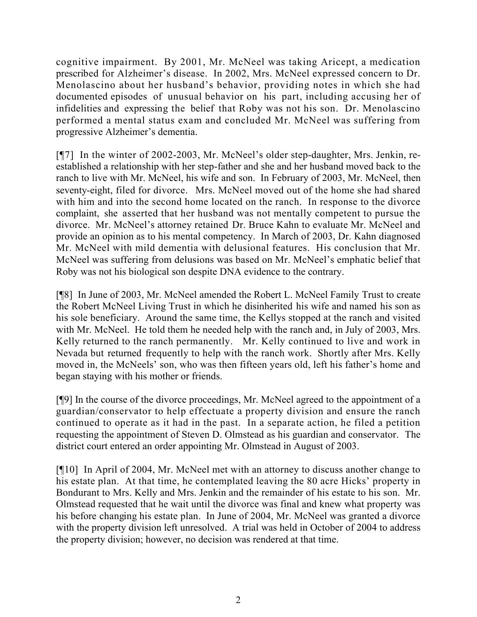cognitive impairment. By 2001, Mr. McNeel was taking Aricept, a medication prescribed for Alzheimer's disease. In 2002, Mrs. McNeel expressed concern to Dr. Menolascino about her husband's behavior, providing notes in which she had documented episodes of unusual behavior on his part, including accusing her of infidelities and expressing the belief that Roby was not his son. Dr. Menolascino performed a mental status exam and concluded Mr. McNeel was suffering from progressive Alzheimer's dementia.

[¶7] In the winter of 2002-2003, Mr. McNeel's older step-daughter, Mrs. Jenkin, reestablished a relationship with her step-father and she and her husband moved back to the ranch to live with Mr. McNeel, his wife and son. In February of 2003, Mr. McNeel, then seventy-eight, filed for divorce. Mrs. McNeel moved out of the home she had shared with him and into the second home located on the ranch. In response to the divorce complaint, she asserted that her husband was not mentally competent to pursue the divorce. Mr. McNeel's attorney retained Dr. Bruce Kahn to evaluate Mr. McNeel and provide an opinion as to his mental competency. In March of 2003, Dr. Kahn diagnosed Mr. McNeel with mild dementia with delusional features. His conclusion that Mr. McNeel was suffering from delusions was based on Mr. McNeel's emphatic belief that Roby was not his biological son despite DNA evidence to the contrary.

[¶8] In June of 2003, Mr. McNeel amended the Robert L. McNeel Family Trust to create the Robert McNeel Living Trust in which he disinherited his wife and named his son as his sole beneficiary. Around the same time, the Kellys stopped at the ranch and visited with Mr. McNeel. He told them he needed help with the ranch and, in July of 2003, Mrs. Kelly returned to the ranch permanently. Mr. Kelly continued to live and work in Nevada but returned frequently to help with the ranch work. Shortly after Mrs. Kelly moved in, the McNeels' son, who was then fifteen years old, left his father's home and began staying with his mother or friends.

[¶9] In the course of the divorce proceedings, Mr. McNeel agreed to the appointment of a guardian/conservator to help effectuate a property division and ensure the ranch continued to operate as it had in the past. In a separate action, he filed a petition requesting the appointment of Steven D. Olmstead as his guardian and conservator. The district court entered an order appointing Mr. Olmstead in August of 2003.

[¶10] In April of 2004, Mr. McNeel met with an attorney to discuss another change to his estate plan. At that time, he contemplated leaving the 80 acre Hicks' property in Bondurant to Mrs. Kelly and Mrs. Jenkin and the remainder of his estate to his son. Mr. Olmstead requested that he wait until the divorce was final and knew what property was his before changing his estate plan. In June of 2004, Mr. McNeel was granted a divorce with the property division left unresolved. A trial was held in October of 2004 to address the property division; however, no decision was rendered at that time.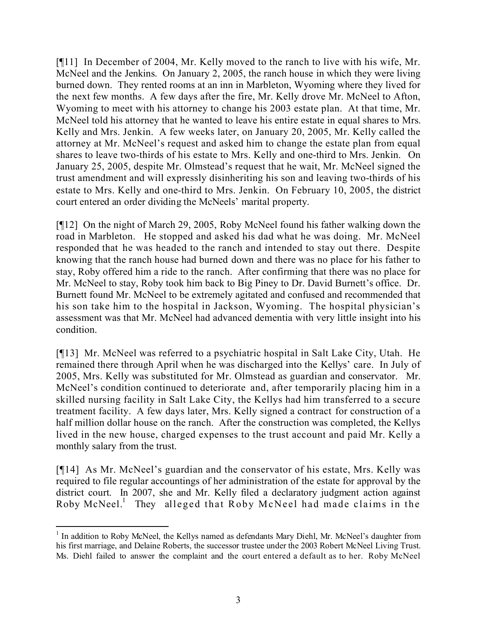[¶11] In December of 2004, Mr. Kelly moved to the ranch to live with his wife, Mr. McNeel and the Jenkins. On January 2, 2005, the ranch house in which they were living burned down. They rented rooms at an inn in Marbleton, Wyoming where they lived for the next few months. A few days after the fire, Mr. Kelly drove Mr. McNeel to Afton, Wyoming to meet with his attorney to change his 2003 estate plan. At that time, Mr. McNeel told his attorney that he wanted to leave his entire estate in equal shares to Mrs. Kelly and Mrs. Jenkin. A few weeks later, on January 20, 2005, Mr. Kelly called the attorney at Mr. McNeel's request and asked him to change the estate plan from equal shares to leave two-thirds of his estate to Mrs. Kelly and one-third to Mrs. Jenkin. On January 25, 2005, despite Mr. Olmstead's request that he wait, Mr. McNeel signed the trust amendment and will expressly disinheriting his son and leaving two-thirds of his estate to Mrs. Kelly and one-third to Mrs. Jenkin. On February 10, 2005, the district court entered an order dividing the McNeels' marital property.

[¶12] On the night of March 29, 2005, Roby McNeel found his father walking down the road in Marbleton. He stopped and asked his dad what he was doing. Mr. McNeel responded that he was headed to the ranch and intended to stay out there. Despite knowing that the ranch house had burned down and there was no place for his father to stay, Roby offered him a ride to the ranch. After confirming that there was no place for Mr. McNeel to stay, Roby took him back to Big Piney to Dr. David Burnett's office. Dr. Burnett found Mr. McNeel to be extremely agitated and confused and recommended that his son take him to the hospital in Jackson, Wyoming. The hospital physician's assessment was that Mr. McNeel had advanced dementia with very little insight into his condition.

[¶13] Mr. McNeel was referred to a psychiatric hospital in Salt Lake City, Utah. He remained there through April when he was discharged into the Kellys' care. In July of 2005, Mrs. Kelly was substituted for Mr. Olmstead as guardian and conservator. Mr. McNeel's condition continued to deteriorate and, after temporarily placing him in a skilled nursing facility in Salt Lake City, the Kellys had him transferred to a secure treatment facility. A few days later, Mrs. Kelly signed a contract for construction of a half million dollar house on the ranch. After the construction was completed, the Kellys lived in the new house, charged expenses to the trust account and paid Mr. Kelly a monthly salary from the trust.

[¶14] As Mr. McNeel's guardian and the conservator of his estate, Mrs. Kelly was required to file regular accountings of her administration of the estate for approval by the district court. In 2007, she and Mr. Kelly filed a declaratory judgment action against Roby McNeel.<sup>1</sup> They alleged that Roby McNeel had made claims in the

 <sup>1</sup> In addition to Roby McNeel, the Kellys named as defendants Mary Diehl, Mr. McNeel's daughter from his first marriage, and Delaine Roberts, the successor trustee under the 2003 Robert McNeel Living Trust. Ms. Diehl failed to answer the complaint and the court entered a default as to her. Roby McNeel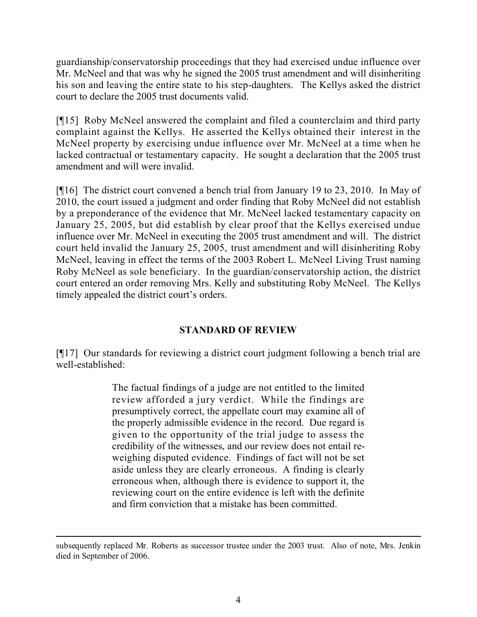guardianship/conservatorship proceedings that they had exercised undue influence over Mr. McNeel and that was why he signed the 2005 trust amendment and will disinheriting his son and leaving the entire state to his step-daughters. The Kellys asked the district court to declare the 2005 trust documents valid.

[¶15] Roby McNeel answered the complaint and filed a counterclaim and third party complaint against the Kellys. He asserted the Kellys obtained their interest in the McNeel property by exercising undue influence over Mr. McNeel at a time when he lacked contractual or testamentary capacity. He sought a declaration that the 2005 trust amendment and will were invalid.

[¶16] The district court convened a bench trial from January 19 to 23, 2010. In May of 2010, the court issued a judgment and order finding that Roby McNeel did not establish by a preponderance of the evidence that Mr. McNeel lacked testamentary capacity on January 25, 2005, but did establish by clear proof that the Kellys exercised undue influence over Mr. McNeel in executing the 2005 trust amendment and will. The district court held invalid the January 25, 2005, trust amendment and will disinheriting Roby McNeel, leaving in effect the terms of the 2003 Robert L. McNeel Living Trust naming Roby McNeel as sole beneficiary. In the guardian/conservatorship action, the district court entered an order removing Mrs. Kelly and substituting Roby McNeel. The Kellys timely appealed the district court's orders.

## **STANDARD OF REVIEW**

[¶17] Our standards for reviewing a district court judgment following a bench trial are well-established:

> The factual findings of a judge are not entitled to the limited review afforded a jury verdict. While the findings are presumptively correct, the appellate court may examine all of the properly admissible evidence in the record. Due regard is given to the opportunity of the trial judge to assess the credibility of the witnesses, and our review does not entail reweighing disputed evidence. Findings of fact will not be set aside unless they are clearly erroneous. A finding is clearly erroneous when, although there is evidence to support it, the reviewing court on the entire evidence is left with the definite and firm conviction that a mistake has been committed.

 $\overline{a}$ 

subsequently replaced Mr. Roberts as successor trustee under the 2003 trust. Also of note, Mrs. Jenkin died in September of 2006.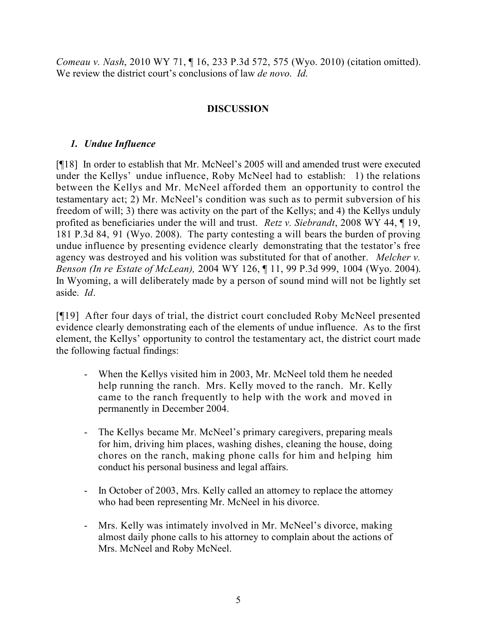*Comeau v. Nash*, 2010 WY 71, ¶ 16, 233 P.3d 572, 575 (Wyo. 2010) (citation omitted). We review the district court's conclusions of law *de novo*. *Id*.

## **DISCUSSION**

## *1. Undue Influence*

[¶18] In order to establish that Mr. McNeel's 2005 will and amended trust were executed under the Kellys' undue influence, Roby McNeel had to establish: 1) the relations between the Kellys and Mr. McNeel afforded them an opportunity to control the testamentary act; 2) Mr. McNeel's condition was such as to permit subversion of his freedom of will; 3) there was activity on the part of the Kellys; and 4) the Kellys unduly profited as beneficiaries under the will and trust. *Retz v. Siebrandt*, 2008 WY 44, ¶ 19, 181 P.3d 84, 91 (Wyo. 2008). The party contesting a will bears the burden of proving undue influence by presenting evidence clearly demonstrating that the testator's free agency was destroyed and his volition was substituted for that of another. *Melcher v. Benson (In re Estate of McLean),* 2004 WY 126, ¶ 11, 99 P.3d 999, 1004 (Wyo. 2004). In Wyoming, a will deliberately made by a person of sound mind will not be lightly set aside. *Id*.

[¶19] After four days of trial, the district court concluded Roby McNeel presented evidence clearly demonstrating each of the elements of undue influence. As to the first element, the Kellys' opportunity to control the testamentary act, the district court made the following factual findings:

- When the Kellys visited him in 2003, Mr. McNeel told them he needed help running the ranch. Mrs. Kelly moved to the ranch. Mr. Kelly came to the ranch frequently to help with the work and moved in permanently in December 2004.
- The Kellys became Mr. McNeel's primary caregivers, preparing meals for him, driving him places, washing dishes, cleaning the house, doing chores on the ranch, making phone calls for him and helping him conduct his personal business and legal affairs.
- In October of 2003, Mrs. Kelly called an attorney to replace the attorney who had been representing Mr. McNeel in his divorce.
- Mrs. Kelly was intimately involved in Mr. McNeel's divorce, making almost daily phone calls to his attorney to complain about the actions of Mrs. McNeel and Roby McNeel.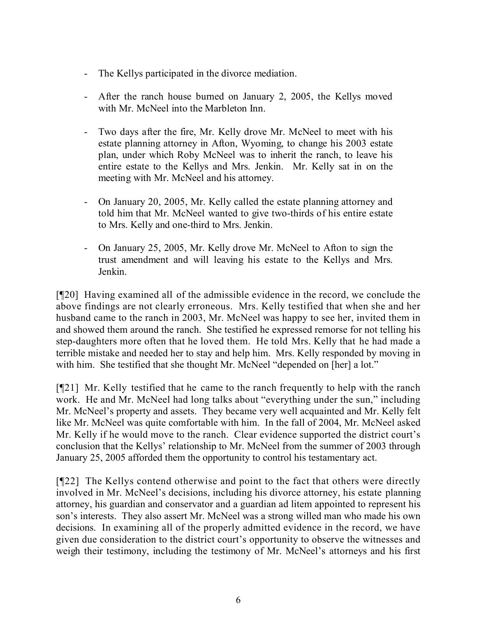- The Kellys participated in the divorce mediation.
- After the ranch house burned on January 2, 2005, the Kellys moved with Mr. McNeel into the Marbleton Inn.
- Two days after the fire, Mr. Kelly drove Mr. McNeel to meet with his estate planning attorney in Afton, Wyoming, to change his 2003 estate plan, under which Roby McNeel was to inherit the ranch, to leave his entire estate to the Kellys and Mrs. Jenkin. Mr. Kelly sat in on the meeting with Mr. McNeel and his attorney.
- On January 20, 2005, Mr. Kelly called the estate planning attorney and told him that Mr. McNeel wanted to give two-thirds of his entire estate to Mrs. Kelly and one-third to Mrs. Jenkin.
- On January 25, 2005, Mr. Kelly drove Mr. McNeel to Afton to sign the trust amendment and will leaving his estate to the Kellys and Mrs. Jenkin.

[¶20] Having examined all of the admissible evidence in the record, we conclude the above findings are not clearly erroneous. Mrs. Kelly testified that when she and her husband came to the ranch in 2003, Mr. McNeel was happy to see her, invited them in and showed them around the ranch. She testified he expressed remorse for not telling his step-daughters more often that he loved them. He told Mrs. Kelly that he had made a terrible mistake and needed her to stay and help him. Mrs. Kelly responded by moving in with him. She testified that she thought Mr. McNeel "depended on [her] a lot."

[¶21] Mr. Kelly testified that he came to the ranch frequently to help with the ranch work. He and Mr. McNeel had long talks about "everything under the sun," including Mr. McNeel's property and assets. They became very well acquainted and Mr. Kelly felt like Mr. McNeel was quite comfortable with him. In the fall of 2004, Mr. McNeel asked Mr. Kelly if he would move to the ranch. Clear evidence supported the district court's conclusion that the Kellys' relationship to Mr. McNeel from the summer of 2003 through January 25, 2005 afforded them the opportunity to control his testamentary act.

[¶22] The Kellys contend otherwise and point to the fact that others were directly involved in Mr. McNeel's decisions, including his divorce attorney, his estate planning attorney, his guardian and conservator and a guardian ad litem appointed to represent his son's interests. They also assert Mr. McNeel was a strong willed man who made his own decisions. In examining all of the properly admitted evidence in the record, we have given due consideration to the district court's opportunity to observe the witnesses and weigh their testimony, including the testimony of Mr. McNeel's attorneys and his first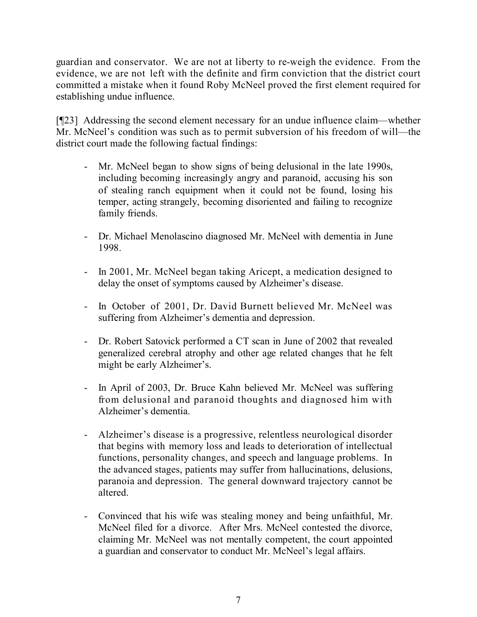guardian and conservator. We are not at liberty to re-weigh the evidence. From the evidence, we are not left with the definite and firm conviction that the district court committed a mistake when it found Roby McNeel proved the first element required for establishing undue influence.

[¶23] Addressing the second element necessary for an undue influence claim—whether Mr. McNeel's condition was such as to permit subversion of his freedom of will—the district court made the following factual findings:

- Mr. McNeel began to show signs of being delusional in the late 1990s, including becoming increasingly angry and paranoid, accusing his son of stealing ranch equipment when it could not be found, losing his temper, acting strangely, becoming disoriented and failing to recognize family friends.
- Dr. Michael Menolascino diagnosed Mr. McNeel with dementia in June 1998.
- In 2001, Mr. McNeel began taking Aricept, a medication designed to delay the onset of symptoms caused by Alzheimer's disease.
- In October of 2001, Dr. David Burnett believed Mr. McNeel was suffering from Alzheimer's dementia and depression.
- Dr. Robert Satovick performed a CT scan in June of 2002 that revealed generalized cerebral atrophy and other age related changes that he felt might be early Alzheimer's.
- In April of 2003, Dr. Bruce Kahn believed Mr. McNeel was suffering from delusional and paranoid thoughts and diagnosed him with Alzheimer's dementia.
- Alzheimer's disease is a progressive, relentless neurological disorder that begins with memory loss and leads to deterioration of intellectual functions, personality changes, and speech and language problems. In the advanced stages, patients may suffer from hallucinations, delusions, paranoia and depression. The general downward trajectory cannot be altered.
- Convinced that his wife was stealing money and being unfaithful, Mr. McNeel filed for a divorce. After Mrs. McNeel contested the divorce, claiming Mr. McNeel was not mentally competent, the court appointed a guardian and conservator to conduct Mr. McNeel's legal affairs.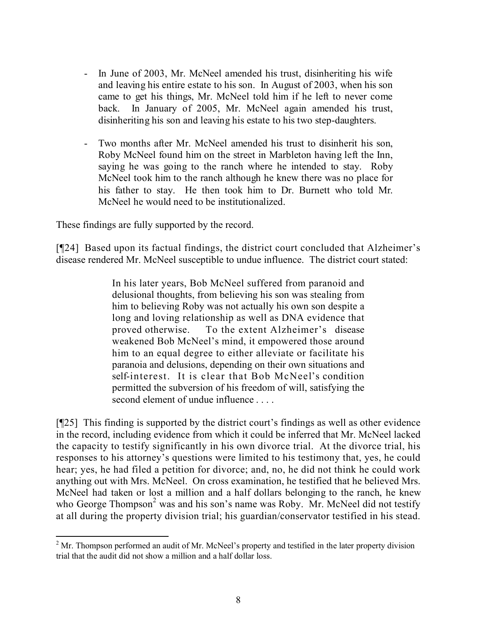- In June of 2003, Mr. McNeel amended his trust, disinheriting his wife and leaving his entire estate to his son. In August of 2003, when his son came to get his things, Mr. McNeel told him if he left to never come back. In January of 2005, Mr. McNeel again amended his trust, disinheriting his son and leaving his estate to his two step-daughters.
- Two months after Mr. McNeel amended his trust to disinherit his son, Roby McNeel found him on the street in Marbleton having left the Inn, saying he was going to the ranch where he intended to stay. Roby McNeel took him to the ranch although he knew there was no place for his father to stay. He then took him to Dr. Burnett who told Mr. McNeel he would need to be institutionalized.

These findings are fully supported by the record.

 $\overline{a}$ 

[¶24] Based upon its factual findings, the district court concluded that Alzheimer's disease rendered Mr. McNeel susceptible to undue influence. The district court stated:

> In his later years, Bob McNeel suffered from paranoid and delusional thoughts, from believing his son was stealing from him to believing Roby was not actually his own son despite a long and loving relationship as well as DNA evidence that proved otherwise. To the extent Alzheimer's disease weakened Bob McNeel's mind, it empowered those around him to an equal degree to either alleviate or facilitate his paranoia and delusions, depending on their own situations and self-interest. It is clear that Bob McNeel's condition permitted the subversion of his freedom of will, satisfying the second element of undue influence . . . .

[¶25] This finding is supported by the district court's findings as well as other evidence in the record, including evidence from which it could be inferred that Mr. McNeel lacked the capacity to testify significantly in his own divorce trial. At the divorce trial, his responses to his attorney's questions were limited to his testimony that, yes, he could hear; yes, he had filed a petition for divorce; and, no, he did not think he could work anything out with Mrs. McNeel. On cross examination, he testified that he believed Mrs. McNeel had taken or lost a million and a half dollars belonging to the ranch, he knew who George Thompson<sup>2</sup> was and his son's name was Roby. Mr. McNeel did not testify at all during the property division trial; his guardian/conservator testified in his stead.

 $2^{\circ}$  Mr. Thompson performed an audit of Mr. McNeel's property and testified in the later property division trial that the audit did not show a million and a half dollar loss.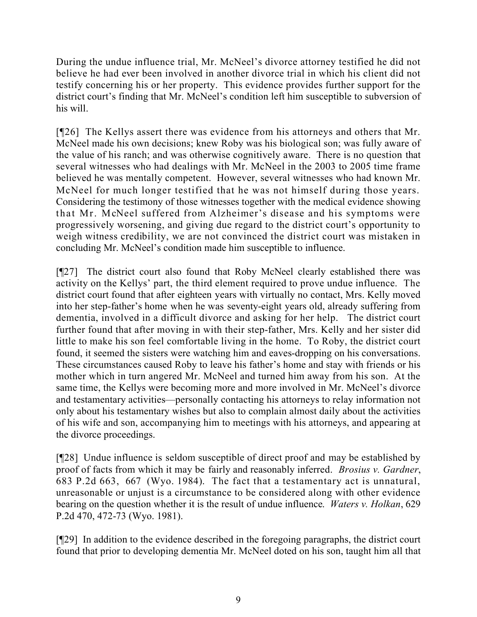During the undue influence trial, Mr. McNeel's divorce attorney testified he did not believe he had ever been involved in another divorce trial in which his client did not testify concerning his or her property. This evidence provides further support for the district court's finding that Mr. McNeel's condition left him susceptible to subversion of his will.

[¶26] The Kellys assert there was evidence from his attorneys and others that Mr. McNeel made his own decisions; knew Roby was his biological son; was fully aware of the value of his ranch; and was otherwise cognitively aware. There is no question that several witnesses who had dealings with Mr. McNeel in the 2003 to 2005 time frame believed he was mentally competent. However, several witnesses who had known Mr. McNeel for much longer testified that he was not himself during those years. Considering the testimony of those witnesses together with the medical evidence showing that Mr. McNeel suffered from Alzheimer's disease and his symptoms were progressively worsening, and giving due regard to the district court's opportunity to weigh witness credibility, we are not convinced the district court was mistaken in concluding Mr. McNeel's condition made him susceptible to influence.

[¶27] The district court also found that Roby McNeel clearly established there was activity on the Kellys' part, the third element required to prove undue influence. The district court found that after eighteen years with virtually no contact, Mrs. Kelly moved into her step-father's home when he was seventy-eight years old, already suffering from dementia, involved in a difficult divorce and asking for her help. The district court further found that after moving in with their step-father, Mrs. Kelly and her sister did little to make his son feel comfortable living in the home. To Roby, the district court found, it seemed the sisters were watching him and eaves-dropping on his conversations. These circumstances caused Roby to leave his father's home and stay with friends or his mother which in turn angered Mr. McNeel and turned him away from his son. At the same time, the Kellys were becoming more and more involved in Mr. McNeel's divorce and testamentary activities—personally contacting his attorneys to relay information not only about his testamentary wishes but also to complain almost daily about the activities of his wife and son, accompanying him to meetings with his attorneys, and appearing at the divorce proceedings.

[¶28] Undue influence is seldom susceptible of direct proof and may be established by proof of facts from which it may be fairly and reasonably inferred. *Brosius v. Gardner*, 683 P.2d 663, 667 (Wyo. 1984). The fact that a testamentary act is unnatural, unreasonable or unjust is a circumstance to be considered along with other evidence bearing on the question whether it is the result of undue influence. *Waters v. Holkan*, 629 P.2d 470, 472-73 (Wyo. 1981).

[¶29] In addition to the evidence described in the foregoing paragraphs, the district court found that prior to developing dementia Mr. McNeel doted on his son, taught him all that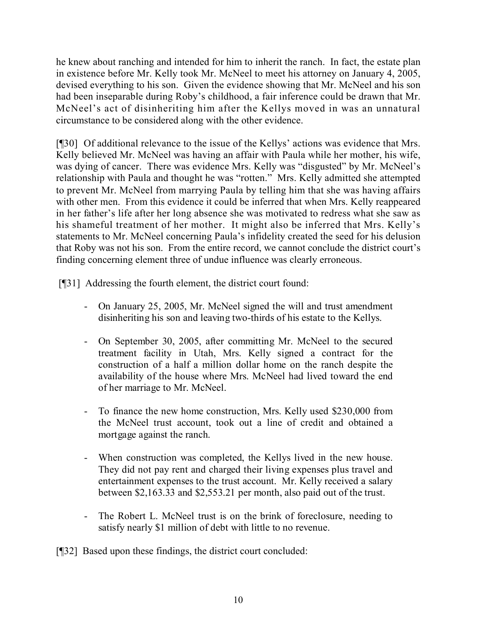he knew about ranching and intended for him to inherit the ranch. In fact, the estate plan in existence before Mr. Kelly took Mr. McNeel to meet his attorney on January 4, 2005, devised everything to his son. Given the evidence showing that Mr. McNeel and his son had been inseparable during Roby's childhood, a fair inference could be drawn that Mr. McNeel's act of disinheriting him after the Kellys moved in was an unnatural circumstance to be considered along with the other evidence.

[¶30] Of additional relevance to the issue of the Kellys' actions was evidence that Mrs. Kelly believed Mr. McNeel was having an affair with Paula while her mother, his wife, was dying of cancer. There was evidence Mrs. Kelly was "disgusted" by Mr. McNeel's relationship with Paula and thought he was "rotten." Mrs. Kelly admitted she attempted to prevent Mr. McNeel from marrying Paula by telling him that she was having affairs with other men. From this evidence it could be inferred that when Mrs. Kelly reappeared in her father's life after her long absence she was motivated to redress what she saw as his shameful treatment of her mother. It might also be inferred that Mrs. Kelly's statements to Mr. McNeel concerning Paula's infidelity created the seed for his delusion that Roby was not his son. From the entire record, we cannot conclude the district court's finding concerning element three of undue influence was clearly erroneous.

[¶31] Addressing the fourth element, the district court found:

- On January 25, 2005, Mr. McNeel signed the will and trust amendment disinheriting his son and leaving two-thirds of his estate to the Kellys.
- On September 30, 2005, after committing Mr. McNeel to the secured treatment facility in Utah, Mrs. Kelly signed a contract for the construction of a half a million dollar home on the ranch despite the availability of the house where Mrs. McNeel had lived toward the end of her marriage to Mr. McNeel.
- To finance the new home construction, Mrs. Kelly used \$230,000 from the McNeel trust account, took out a line of credit and obtained a mortgage against the ranch.
- When construction was completed, the Kellys lived in the new house. They did not pay rent and charged their living expenses plus travel and entertainment expenses to the trust account. Mr. Kelly received a salary between \$2,163.33 and \$2,553.21 per month, also paid out of the trust.
- The Robert L. McNeel trust is on the brink of foreclosure, needing to satisfy nearly \$1 million of debt with little to no revenue.

[¶32] Based upon these findings, the district court concluded: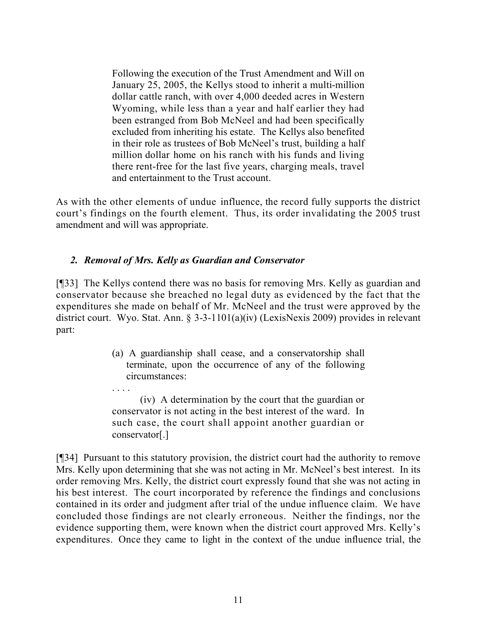Following the execution of the Trust Amendment and Will on January 25, 2005, the Kellys stood to inherit a multi-million dollar cattle ranch, with over 4,000 deeded acres in Western Wyoming, while less than a year and half earlier they had been estranged from Bob McNeel and had been specifically excluded from inheriting his estate. The Kellys also benefited in their role as trustees of Bob McNeel's trust, building a half million dollar home on his ranch with his funds and living there rent-free for the last five years, charging meals, travel and entertainment to the Trust account.

As with the other elements of undue influence, the record fully supports the district court's findings on the fourth element. Thus, its order invalidating the 2005 trust amendment and will was appropriate.

## *2. Removal of Mrs. Kelly as Guardian and Conservator*

[¶33] The Kellys contend there was no basis for removing Mrs. Kelly as guardian and conservator because she breached no legal duty as evidenced by the fact that the expenditures she made on behalf of Mr. McNeel and the trust were approved by the district court. Wyo. Stat. Ann. § 3-3-1101(a)(iv) (LexisNexis 2009) provides in relevant part:

> (a) A guardianship shall cease, and a conservatorship shall terminate, upon the occurrence of any of the following circumstances:

> . . . . (iv) A determination by the court that the guardian or conservator is not acting in the best interest of the ward. In such case, the court shall appoint another guardian or conservator[.]

[¶34] Pursuant to this statutory provision, the district court had the authority to remove Mrs. Kelly upon determining that she was not acting in Mr. McNeel's best interest. In its order removing Mrs. Kelly, the district court expressly found that she was not acting in his best interest. The court incorporated by reference the findings and conclusions contained in its order and judgment after trial of the undue influence claim. We have concluded those findings are not clearly erroneous. Neither the findings, nor the evidence supporting them, were known when the district court approved Mrs. Kelly's expenditures. Once they came to light in the context of the undue influence trial, the